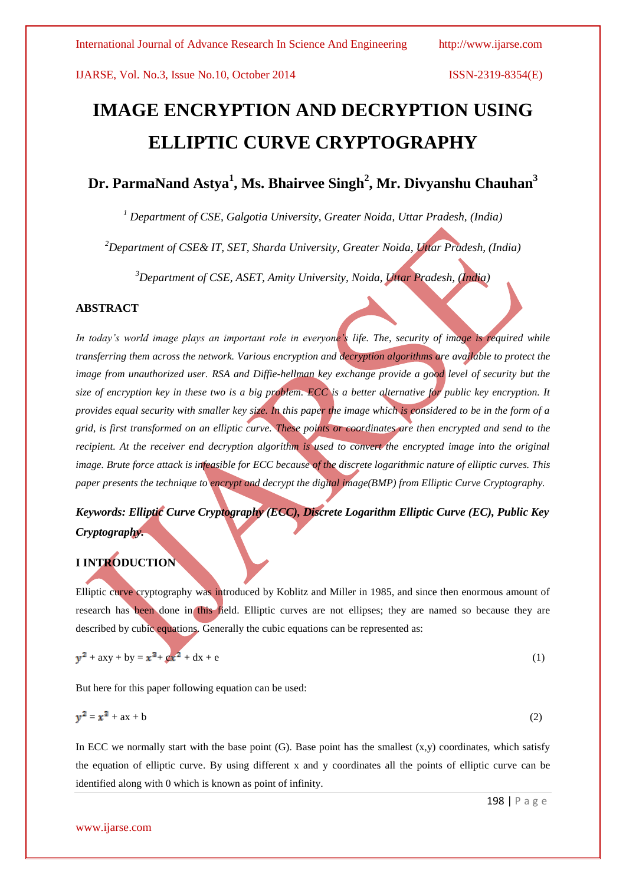# **IMAGE ENCRYPTION AND DECRYPTION USING ELLIPTIC CURVE CRYPTOGRAPHY**

**Dr. ParmaNand Astya<sup>1</sup> , Ms. Bhairvee Singh<sup>2</sup> , Mr. Divyanshu Chauhan<sup>3</sup>**

*<sup>1</sup> Department of CSE, Galgotia University, Greater Noida, Uttar Pradesh, (India)*

*<sup>2</sup>Department of CSE& IT, SET, Sharda University, Greater Noida, Uttar Pradesh, (India)*

*<sup>3</sup>Department of CSE, ASET, Amity University, Noida, Uttar Pradesh, (India)*

### **ABSTRACT**

*In today's world image plays an important role in everyone's life. The, security of image is required while transferring them across the network. Various encryption and decryption algorithms are available to protect the image from unauthorized user. RSA and Diffie-hellman key exchange provide a good level of security but the size of encryption key in these two is a big problem. ECC is a better alternative for public key encryption. It provides equal security with smaller key size. In this paper the image which is considered to be in the form of a grid, is first transformed on an elliptic curve. These points or coordinates are then encrypted and send to the recipient. At the receiver end decryption algorithm is used to convert the encrypted image into the original image. Brute force attack is infeasible for ECC because of the discrete logarithmic nature of elliptic curves. This paper presents the technique to encrypt and decrypt the digital image(BMP) from Elliptic Curve Cryptography.*

## *Keywords: Elliptic Curve Cryptography (ECC), Discrete Logarithm Elliptic Curve (EC), Public Key Cryptography.*

### **I INTRODUCTION**

Elliptic curve cryptography was introduced by Koblitz and Miller in 1985, and since then enormous amount of research has been done in this field. Elliptic curves are not ellipses; they are named so because they are described by cubic equations. Generally the cubic equations can be represented as:

$$
y^2 + axy + by = x^3 + \varrho x^2 + dx + e
$$
 (1)

But here for this paper following equation can be used:

$$
y^2 = x^3 + ax + b \tag{2}
$$

In ECC we normally start with the base point  $(G)$ . Base point has the smallest  $(x,y)$  coordinates, which satisfy the equation of elliptic curve. By using different x and y coordinates all the points of elliptic curve can be identified along with 0 which is known as point of infinity.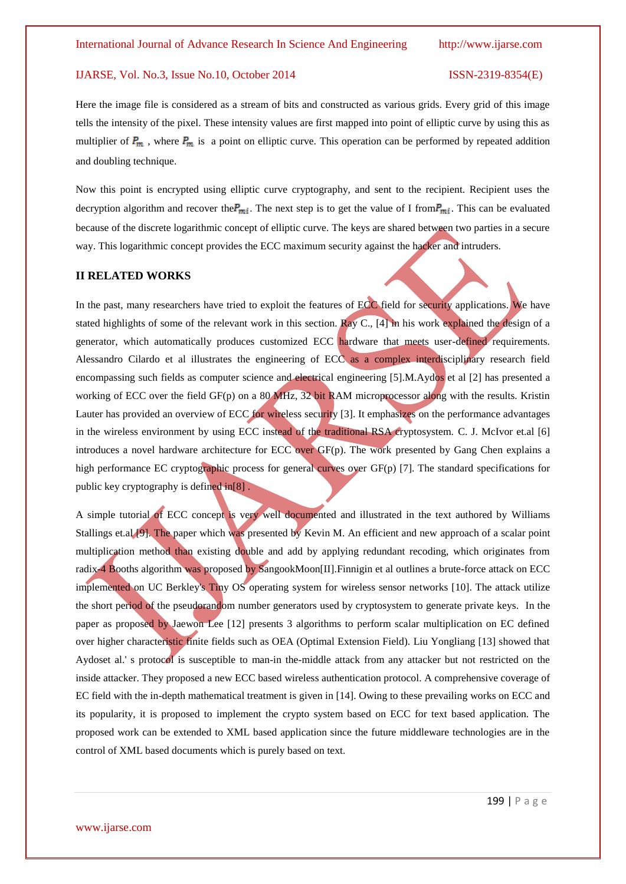Here the image file is considered as a stream of bits and constructed as various grids. Every grid of this image tells the intensity of the pixel. These intensity values are first mapped into point of elliptic curve by using this as multiplier of  $P_m$ , where  $P_m$  is a point on elliptic curve. This operation can be performed by repeated addition and doubling technique.

Now this point is encrypted using elliptic curve cryptography, and sent to the recipient. Recipient uses the decryption algorithm and recover the  $P_{mi}$ . The next step is to get the value of I from  $P_{mi}$ . This can be evaluated because of the discrete logarithmic concept of elliptic curve. The keys are shared between two parties in a secure way. This logarithmic concept provides the ECC maximum security against the hacker and intruders.

### **II RELATED WORKS**

In the past, many researchers have tried to exploit the features of ECC field for security applications. We have stated highlights of some of the relevant work in this section. Ray C., [4] in his work explained the design of a generator, which automatically produces customized ECC hardware that meets user-defined requirements. Alessandro Cilardo et al illustrates the engineering of ECC as a complex interdisciplinary research field encompassing such fields as computer science and electrical engineering [5].M.Aydos et al [2] has presented a working of ECC over the field GF(p) on a 80 MHz, 32 bit RAM microprocessor along with the results. Kristin Lauter has provided an overview of ECC for wireless security [3]. It emphasizes on the performance advantages in the wireless environment by using ECC instead of the traditional RSA cryptosystem. C. J. McIvor et.al [6] introduces a novel hardware architecture for ECC over GF(p). The work presented by Gang Chen explains a high performance EC cryptographic process for general curves over GF(p) [7]. The standard specifications for public key cryptography is defined in[8] .

A simple tutorial of ECC concept is very well documented and illustrated in the text authored by Williams Stallings et.al [9]. The paper which was presented by Kevin M. An efficient and new approach of a scalar point multiplication method than existing double and add by applying redundant recoding, which originates from radix-4 Booths algorithm was proposed by SangookMoon[II].Finnigin et al outlines a brute-force attack on ECC implemented on UC Berkley's Tiny OS operating system for wireless sensor networks [10]. The attack utilize the short period of the pseudorandom number generators used by cryptosystem to generate private keys. In the paper as proposed by Jaewon Lee [12] presents 3 algorithms to perform scalar multiplication on EC defined over higher characteristic finite fields such as OEA (Optimal Extension Field). Liu Yongliang [13] showed that Aydoset al.' s protocol is susceptible to man-in the-middle attack from any attacker but not restricted on the inside attacker. They proposed a new ECC based wireless authentication protocol. A comprehensive coverage of EC field with the in-depth mathematical treatment is given in [14]. Owing to these prevailing works on ECC and its popularity, it is proposed to implement the crypto system based on ECC for text based application. The proposed work can be extended to XML based application since the future middleware technologies are in the control of XML based documents which is purely based on text.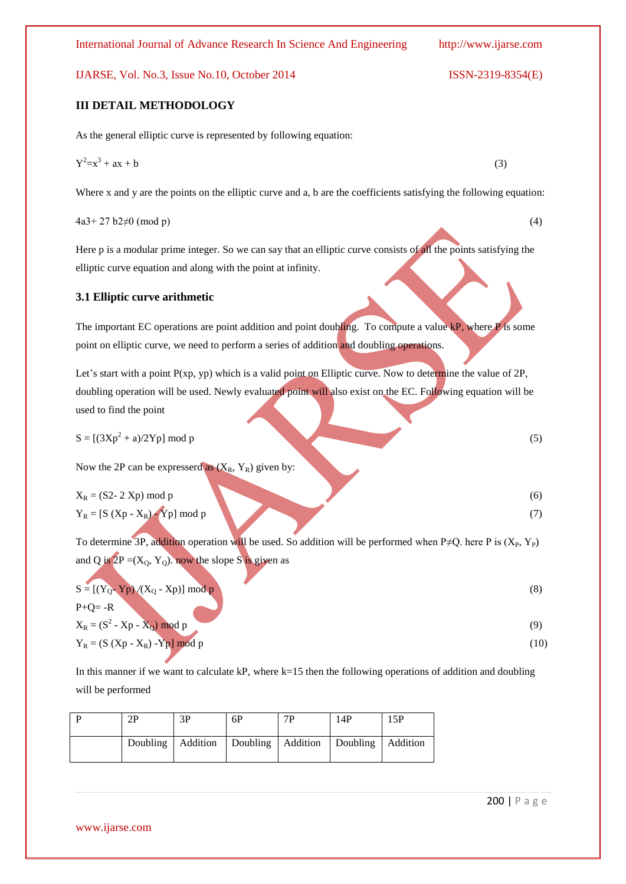### **III DETAIL METHODOLOGY**

As the general elliptic curve is represented by following equation:

$$
Y^2 = x^3 + ax + b \tag{3}
$$

Where x and y are the points on the elliptic curve and a, b are the coefficients satisfying the following equation:

 $4a3+27 b2 \neq 0 \pmod{p}$  (4)

Here p is a modular prime integer. So we can say that an elliptic curve consists of all the points satisfying the elliptic curve equation and along with the point at infinity.

### **3.1 Elliptic curve arithmetic**

The important EC operations are point addition and point doubling. To compute a value kP, where P is some point on elliptic curve, we need to perform a series of addition and doubling operations.

Let's start with a point P(xp, yp) which is a valid point on Elliptic curve. Now to determine the value of 2P, doubling operation will be used. Newly evaluated point will also exist on the EC. Following equation will be used to find the point

$$
S = [(3Xp2 + a)/2Yp] \text{ mod } p
$$
 (5)

Now the 2P can be expresserd as  $(X_R, Y_R)$  given by:

$$
X_R = (S2 - 2 \text{ Xp}) \text{ mod } p
$$
  
\n
$$
Y_R = [S (Xp - X_R) \text{ Yp}] \text{ mod } p
$$
\n(6)

To determine 3P, addition operation will be used. So addition will be performed when P≠Q. here P is  $(X_P, Y_P)$ and Q is  $2P = (X_0, Y_0)$ . now the slope S is given as

$$
S = [(Y_0 - Yp) / (X_0 - Xp)] \mod p
$$
  
P+Q= -R

$$
X_R = (S^2 - Xp - X_Q) \mod p
$$
  
\n
$$
Y_R = (S (Xp - X_R) - Yp) \mod p
$$
\n(9)

In this manner if we want to calculate kP, where  $k=15$  then the following operations of addition and doubling will be performed

| ЭD | 3P | 6Р                                                   | 7P | 14P | 15P      |
|----|----|------------------------------------------------------|----|-----|----------|
|    |    | Doubling   Addition   Doubling   Addition   Doubling |    |     | Addition |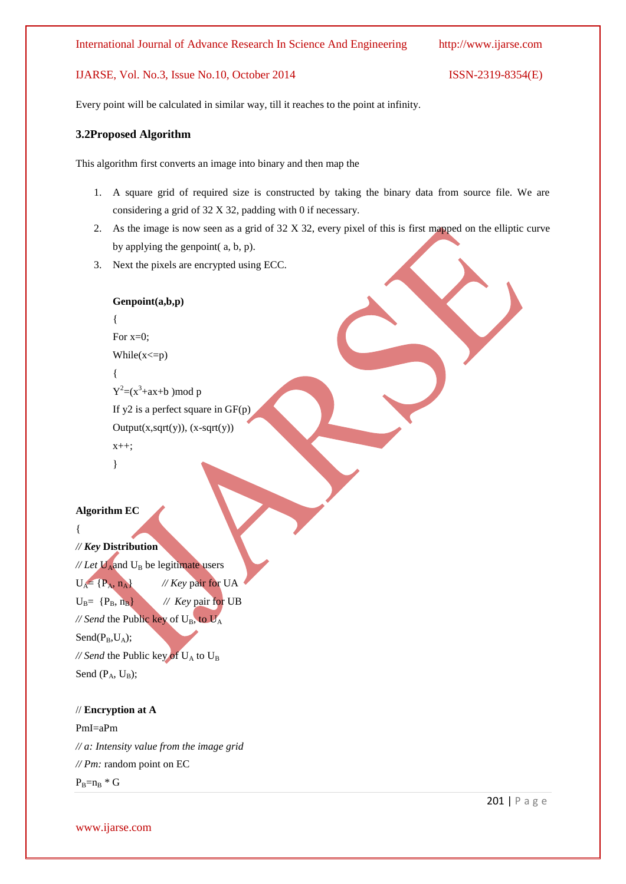Every point will be calculated in similar way, till it reaches to the point at infinity.

### **3.2Proposed Algorithm**

This algorithm first converts an image into binary and then map the

- 1. A square grid of required size is constructed by taking the binary data from source file. We are considering a grid of 32 X 32, padding with 0 if necessary.
- 2. As the image is now seen as a grid of 32 X 32, every pixel of this is first mapped on the elliptic curve by applying the genpoint( a, b, p).
- 3. Next the pixels are encrypted using ECC.

```
Genpoint(a,b,p)
{
For x=0;
While(x \le p){
Y^2 = (x^3 + ax + b) \mod pIf y2 is a perfect square in GF(p)
Output(x, sqrt(y)), (x-sqrt(y))x++;
}
```

```
Algorithm EC
```

```
{
// Key Distribution
\mathcal{N}Let \mathbf{U}_{\text{A}} and \mathbf{U}_{\text{B}} be legitimate users
U_A = {P_A, n_A} // Key pair for UA
U_B = \{P_B, n_B\} // Key pair for UB
// Send the Public key of U_B, to U_ASend(P_B, U_A);
\frac{1}{2} Send the Public key of U<sub>A</sub> to U<sub>B</sub>
Send (P_A, U_B);
```
### // **Encryption at A**

PmI=aPm *// a: Intensity value from the image grid // Pm:* random point on EC  $P_B=n_B * G$ 

www.ijarse.com

201 | P a g e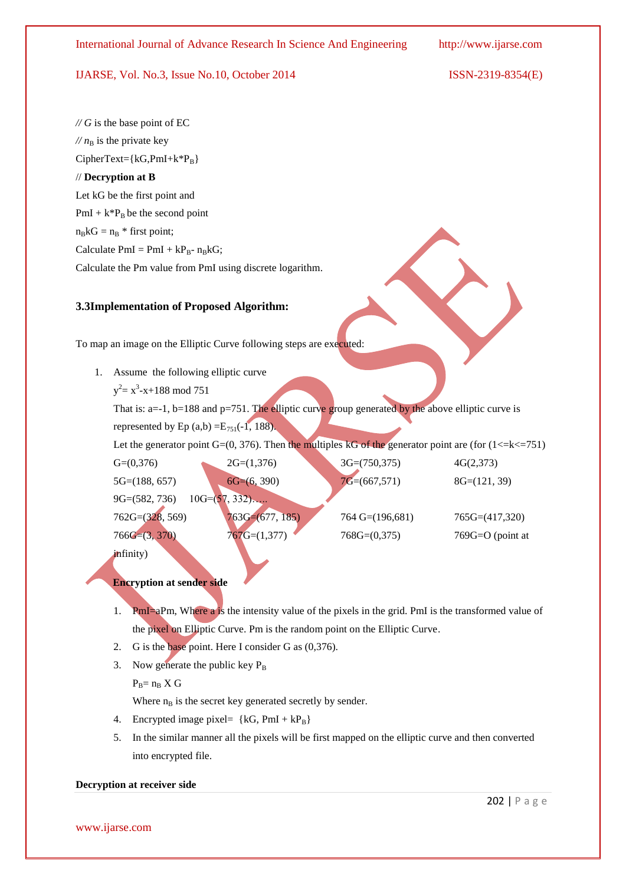$\mathscr{N}G$  is the base point of EC  $M n<sub>B</sub>$  is the private key  $CipherText={kG, PmI+k*P_B}$ // **Decryption at B** Let kG be the first point and PmI +  $k*P_B$  be the second point  $n_BkG = n_B *$  first point; Calculate  $PmI = PmI + kP_{B} - n_{B}kG$ ; Calculate the Pm value from PmI using discrete logarithm.

### **3.3Implementation of Proposed Algorithm:**

To map an image on the Elliptic Curve following steps are executed:

- 1. Assume the following elliptic curve
	- $y^2 = x^3 x + 188 \mod 751$

That is:  $a=-1$ ,  $b=188$  and  $p=751$ . The elliptic curve group generated by the above elliptic curve is

represented by Ep  $(a,b) = E_{751}(-1, 188)$ .

Let the generator point  $G=(0, 376)$ . Then the multiples kG of the generator point are (for  $(1\le k \le 751)$ )

| $G=(0,376)$       | $2G=(1,376)$      | $3G=(750,375)$              | 4G(2,373)          |
|-------------------|-------------------|-----------------------------|--------------------|
| $5G=(188, 657)$   | $6G= (6, 390)$    | $7G=(667,571)$              | $8G=(121, 39)$     |
| $9G=(582, 736)$   | $10G=(57, 332)$   |                             |                    |
| $762G=(328, 569)$ | $763G=(677, 185)$ | $764 \text{ G} = (196,681)$ | $765G=(417,320)$   |
| $766G=(3, 370)$   | $767G=(1,377)$    | $768G=(0,375)$              | $769G=O$ (point at |
| <i>infinity</i> ) |                   |                             |                    |

**Encryption at sender side**

- 1. PmI=aPm, Where a is the intensity value of the pixels in the grid. PmI is the transformed value of the pixel on Elliptic Curve. Pm is the random point on the Elliptic Curve.
- 2. G is the base point. Here I consider G as (0,376).
- 3. Now generate the public key  $P_B$

 $P_B = n_B X G$ 

Where  $n_B$  is the secret key generated secretly by sender.

- 4. Encrypted image pixel=  $\{kG, PmI + kP_B\}$
- 5. In the similar manner all the pixels will be first mapped on the elliptic curve and then converted into encrypted file.

### **Decryption at receiver side**

www.ijarse.com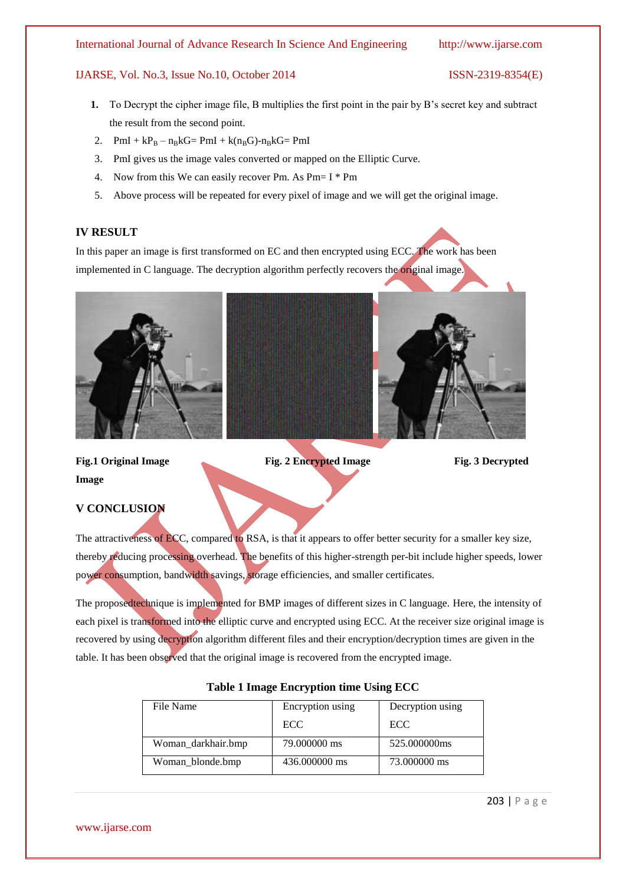### International Journal of Advance Research In Science And Engineering http://www.ijarse.com

### IJARSE, Vol. No.3, Issue No.10, October 2014 ISSN-2319-8354(E)

- **1.** To Decrypt the cipher image file, B multiplies the first point in the pair by B's secret key and subtract the result from the second point.
- 2.  $PmI + kP_B n_BkG = PmI + k(n_BG) n_BkG = PmI$
- 3. PmI gives us the image vales converted or mapped on the Elliptic Curve.
- 4. Now from this We can easily recover Pm. As Pm= I \* Pm
- 5. Above process will be repeated for every pixel of image and we will get the original image.

### **IV RESULT**

In this paper an image is first transformed on EC and then encrypted using ECC. The work has been implemented in C language. The decryption algorithm perfectly recovers the original image.



**Image**

**Fig.1 Original Image Fig. 2 Encrypted Image Fig. 3 Decrypted** 

### **V CONCLUSION**

The attractiveness of ECC, compared to RSA, is that it appears to offer better security for a smaller key size, thereby reducing processing overhead. The benefits of this higher-strength per-bit include higher speeds, lower power consumption, bandwidth savings, storage efficiencies, and smaller certificates.

The proposedtechnique is implemented for BMP images of different sizes in C language. Here, the intensity of each pixel is transformed into the elliptic curve and encrypted using ECC. At the receiver size original image is recovered by using decryption algorithm different files and their encryption/decryption times are given in the table. It has been observed that the original image is recovered from the encrypted image.

| File Name          | Encryption using | Decryption using |  |
|--------------------|------------------|------------------|--|
|                    | ECC.             | ECC.             |  |
| Woman_darkhair.bmp | 79,000000 ms     | 525,000000ms     |  |
| Woman blonde.bmp   | 436,000000 ms    | 73,000000 ms     |  |

### **Table 1 Image Encryption time Using ECC**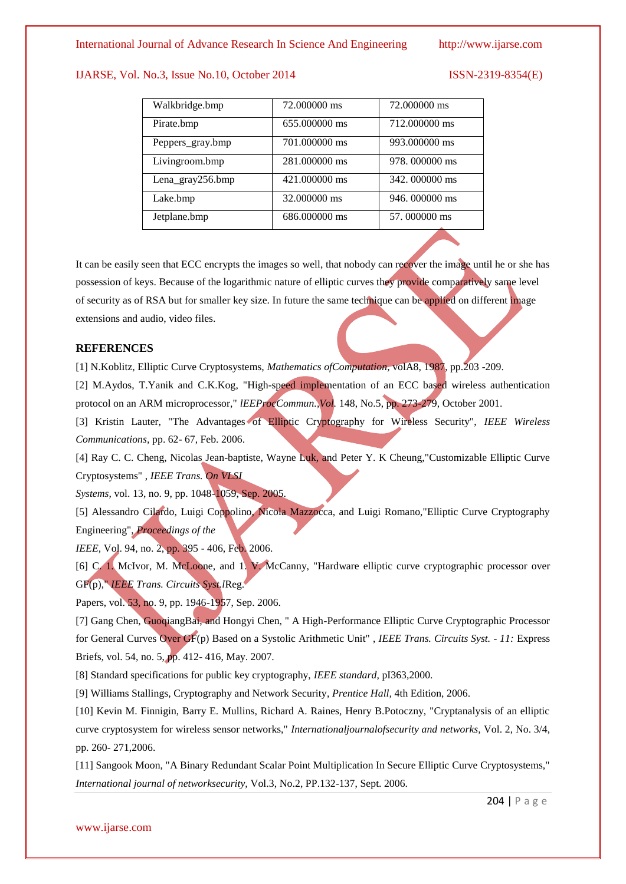| Walkbridge.bmp   | 72,000000 ms  | 72.000000 ms   |  |
|------------------|---------------|----------------|--|
| Pirate.bmp       | 655,000000 ms | 712,000000 ms  |  |
| Peppers_gray.bmp | 701.000000 ms | 993,000000 ms  |  |
| Livingroom.bmp   | 281.000000 ms | 978.000000 ms  |  |
| Lena_gray256.bmp | 421,000000 ms | 342, 000000 ms |  |
| Lake.bmp         | 32,000000 ms  | 946.000000 ms  |  |
| Jetplane.bmp     | 686.000000 ms | 57,000000 ms   |  |
|                  |               |                |  |

It can be easily seen that ECC encrypts the images so well, that nobody can recover the image until he or she has possession of keys. Because of the logarithmic nature of elliptic curves they provide comparatively same level of security as of RSA but for smaller key size. In future the same technique can be applied on different image extensions and audio, video files.

### **REFERENCES**

[1] N.Koblitz, Elliptic Curve Cryptosystems, *Mathematics ofComputation,* volA8, 1987, pp.203 -209.

[2] M.Aydos, T.Yanik and C.K.Kog, "High-speed implementation of an ECC based wireless authentication protocol on an ARM microprocessor," *lEEProcCommun.,Vol.* 148, No.5, pp. 273-279, October 2001.

[3] Kristin Lauter, "The Advantages of Elliptic Cryptography for Wireless Security", *IEEE Wireless Communications,* pp. 62- 67, Feb. 2006.

[4] Ray C. C. Cheng, Nicolas Jean-baptiste, Wayne Luk, and Peter Y. K Cheung,"Customizable Elliptic Curve Cryptosystems" , *IEEE Trans. On VLSI*

*Systems,* vol. 13, no. 9, pp. 1048-1059, Sep. 2005.

[5] Alessandro Cilardo, Luigi Coppolino, Nicola Mazzocca, and Luigi Romano,"Elliptic Curve Cryptography Engineering", *Proceedings of the*

*IEEE*, Vol. 94, no. 2, pp. 395 - 406, Feb. 2006.

[6] C. 1. McIvor, M. McLoone, and 1. V. McCanny, "Hardware elliptic curve cryptographic processor over GF(p)," *IEEE Trans. Circuits Syst.l*Reg.

Papers, vol. 53, no. 9, pp. 1946-1957, Sep. 2006.

[7] Gang Chen, GuoqiangBai, and Hongyi Chen, " A High-Performance Elliptic Curve Cryptographic Processor for General Curves Over GF(p) Based on a Systolic Arithmetic Unit" , *IEEE Trans. Circuits Syst.* - *11:* Express Briefs, vol. 54, no. 5, pp. 412- 416, May. 2007.

[8] Standard specifications for public key cryptography, *IEEE standard,* pI363,2000.

[9] Williams Stallings, Cryptography and Network Security, *Prentice Hall,* 4th Edition, 2006.

[10] Kevin M. Finnigin, Barry E. Mullins, Richard A. Raines, Henry B.Potoczny, "Cryptanalysis of an elliptic curve cryptosystem for wireless sensor networks," *Internationaljournalofsecurity and networks,* Vol. 2, No. 3/4, pp. 260- 271,2006.

[11] Sangook Moon, "A Binary Redundant Scalar Point Multiplication In Secure Elliptic Curve Cryptosystems," *International journal of networksecurity,* Vol.3, No.2, PP.132-137, Sept. 2006.